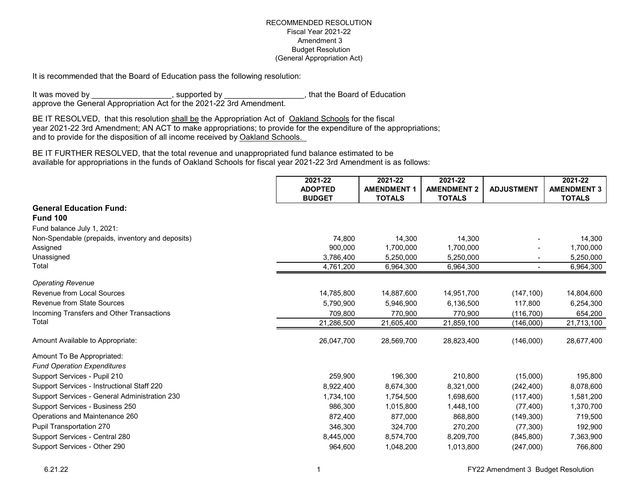It is recommended that the Board of Education pass the following resolution:

It was moved by \_\_\_\_\_\_\_\_\_\_\_\_\_\_\_\_, supported by \_\_\_\_\_\_\_\_\_\_\_\_\_\_, that the Board of Education approve the General Appropriation Act for the 2021-22 3rd Amendment.

BE IT RESOLVED, that this resolution shall be the Appropriation Act of Oakland Schools for the fiscal year 2021-22 3rd Amendment; AN ACT to make appropriations; to provide for the expenditure of the appropriations; and to provide for the disposition of all income received by Oakland Schools.

BE IT FURTHER RESOLVED, that the total revenue and unappropriated fund balance estimated to be available for appropriations in the funds of Oakland Schools for fiscal year 2021-22 3rd Amendment is as follows:

|                                                  | 2021-22<br><b>ADOPTED</b> | 2021-22<br><b>AMENDMENT 1</b> | 2021-22<br><b>AMENDMENT 2</b> | <b>ADJUSTMENT</b> | 2021-22<br><b>AMENDMENT 3</b> |
|--------------------------------------------------|---------------------------|-------------------------------|-------------------------------|-------------------|-------------------------------|
|                                                  | <b>BUDGET</b>             | <b>TOTALS</b>                 | <b>TOTALS</b>                 |                   | <b>TOTALS</b>                 |
| <b>General Education Fund:</b>                   |                           |                               |                               |                   |                               |
| <b>Fund 100</b>                                  |                           |                               |                               |                   |                               |
| Fund balance July 1, 2021:                       |                           |                               |                               |                   |                               |
| Non-Spendable (prepaids, inventory and deposits) | 74,800                    | 14,300                        | 14,300                        |                   | 14,300                        |
| Assigned                                         | 900,000                   | 1,700,000                     | 1,700,000                     |                   | 1,700,000                     |
| Unassigned                                       | 3,786,400                 | 5,250,000                     | 5,250,000                     |                   | 5,250,000                     |
| Total                                            | 4,761,200                 | 6,964,300                     | 6,964,300                     | $\sim$            | 6,964,300                     |
| <b>Operating Revenue</b>                         |                           |                               |                               |                   |                               |
| Revenue from Local Sources                       | 14,785,800                | 14,887,600                    | 14,951,700                    | (147, 100)        | 14,804,600                    |
| <b>Revenue from State Sources</b>                | 5,790,900                 | 5,946,900                     | 6,136,500                     | 117,800           | 6,254,300                     |
| Incoming Transfers and Other Transactions        | 709.800                   | 770.900                       | 770.900                       | (116, 700)        | 654,200                       |
| Total                                            | 21,286,500                | 21,605,400                    | 21,859,100                    | (146,000)         | 21,713,100                    |
| Amount Available to Appropriate:                 | 26,047,700                | 28,569,700                    | 28,823,400                    | (146,000)         | 28,677,400                    |
| Amount To Be Appropriated:                       |                           |                               |                               |                   |                               |
| <b>Fund Operation Expenditures</b>               |                           |                               |                               |                   |                               |
| Support Services - Pupil 210                     | 259,900                   | 196,300                       | 210,800                       | (15,000)          | 195,800                       |
| Support Services - Instructional Staff 220       | 8,922,400                 | 8,674,300                     | 8,321,000                     | (242, 400)        | 8,078,600                     |
| Support Services - General Administration 230    | 1,734,100                 | 1,754,500                     | 1,698,600                     | (117, 400)        | 1,581,200                     |
| Support Services - Business 250                  | 986,300                   | 1,015,800                     | 1,448,100                     | (77, 400)         | 1,370,700                     |
| Operations and Maintenance 260                   | 872,400                   | 877,000                       | 868,800                       | (149, 300)        | 719,500                       |
| Pupil Transportation 270                         | 346,300                   | 324,700                       | 270,200                       | (77, 300)         | 192,900                       |
| Support Services - Central 280                   | 8,445,000                 | 8,574,700                     | 8,209,700                     | (845, 800)        | 7,363,900                     |
| Support Services - Other 290                     | 964,600                   | 1,048,200                     | 1,013,800                     | (247,000)         | 766,800                       |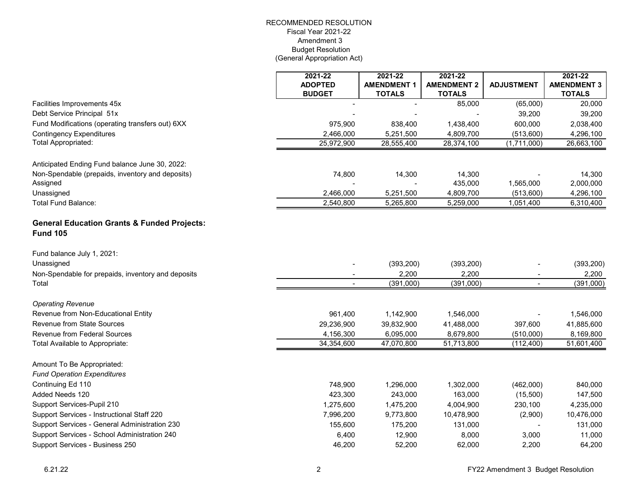|                                                                           | 2021-22<br><b>ADOPTED</b> | 2021-22<br><b>AMENDMENT 1</b> | 2021-22<br><b>AMENDMENT 2</b> | <b>ADJUSTMENT</b> | 2021-22<br><b>AMENDMENT 3</b> |
|---------------------------------------------------------------------------|---------------------------|-------------------------------|-------------------------------|-------------------|-------------------------------|
|                                                                           | <b>BUDGET</b>             | <b>TOTALS</b>                 | <b>TOTALS</b>                 |                   | <b>TOTALS</b>                 |
| Facilities Improvements 45x                                               |                           |                               | 85,000                        | (65,000)          | 20,000                        |
| Debt Service Principal 51x                                                |                           |                               |                               | 39,200            | 39,200                        |
| Fund Modifications (operating transfers out) 6XX                          | 975,900                   | 838,400                       | 1,438,400                     | 600,000           | 2,038,400                     |
| <b>Contingency Expenditures</b>                                           | 2,466,000                 | 5,251,500                     | 4,809,700                     | (513,600)         | 4,296,100                     |
| <b>Total Appropriated:</b>                                                | 25,972,900                | 28,555,400                    | 28,374,100                    | (1,711,000)       | 26,663,100                    |
| Anticipated Ending Fund balance June 30, 2022:                            |                           |                               |                               |                   |                               |
| Non-Spendable (prepaids, inventory and deposits)<br>Assigned              | 74,800                    | 14,300                        | 14,300<br>435,000             | 1,565,000         | 14,300<br>2,000,000           |
| Unassigned                                                                | 2,466,000                 | 5,251,500                     | 4,809,700                     | (513,600)         | 4,296,100                     |
| Total Fund Balance:                                                       | 2,540,800                 | 5,265,800                     | 5,259,000                     | 1,051,400         | 6,310,400                     |
| <b>General Education Grants &amp; Funded Projects:</b><br><b>Fund 105</b> |                           |                               |                               |                   |                               |
| Fund balance July 1, 2021:                                                |                           |                               |                               |                   |                               |
| Unassigned                                                                |                           | (393, 200)                    | (393, 200)                    |                   | (393, 200)                    |
| Non-Spendable for prepaids, inventory and deposits                        |                           | 2,200                         | 2,200                         |                   | 2,200                         |
| Total                                                                     |                           | (391,000)                     | (391,000)                     |                   | (391,000)                     |
| <b>Operating Revenue</b>                                                  |                           |                               |                               |                   |                               |
| Revenue from Non-Educational Entity                                       | 961,400                   | 1,142,900                     | 1,546,000                     |                   | 1,546,000                     |
| <b>Revenue from State Sources</b>                                         | 29,236,900                | 39,832,900                    | 41,488,000                    | 397,600           | 41,885,600                    |
| Revenue from Federal Sources                                              | 4,156,300                 | 6,095,000                     | 8,679,800                     | (510,000)         | 8,169,800                     |
| Total Available to Appropriate:                                           | 34,354,600                | 47,070,800                    | 51,713,800                    | (112, 400)        | 51,601,400                    |
| Amount To Be Appropriated:<br><b>Fund Operation Expenditures</b>          |                           |                               |                               |                   |                               |
| Continuing Ed 110                                                         | 748,900                   | 1,296,000                     | 1,302,000                     | (462,000)         | 840,000                       |
| Added Needs 120                                                           | 423,300                   | 243,000                       | 163,000                       | (15,500)          | 147,500                       |
| Support Services-Pupil 210                                                | 1,275,600                 | 1,475,200                     | 4,004,900                     | 230,100           | 4,235,000                     |
| Support Services - Instructional Staff 220                                | 7,996,200                 | 9,773,800                     | 10,478,900                    | (2,900)           | 10,476,000                    |
| Support Services - General Administration 230                             | 155,600                   | 175,200                       | 131,000                       |                   | 131,000                       |
| Support Services - School Administration 240                              | 6,400                     | 12,900                        | 8,000                         | 3,000             | 11,000                        |
| Support Services - Business 250                                           | 46,200                    | 52,200                        | 62,000                        | 2,200             | 64,200                        |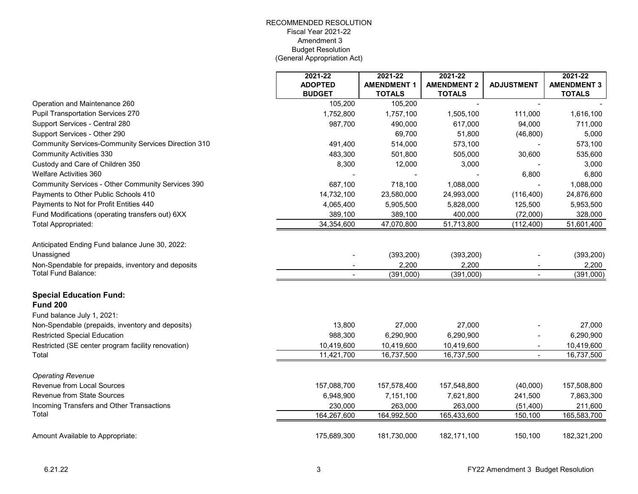|                                                     | 2021-22        | 2021-22            | 2021-22            |                   | 2021-22            |
|-----------------------------------------------------|----------------|--------------------|--------------------|-------------------|--------------------|
|                                                     | <b>ADOPTED</b> | <b>AMENDMENT 1</b> | <b>AMENDMENT 2</b> | <b>ADJUSTMENT</b> | <b>AMENDMENT 3</b> |
|                                                     | <b>BUDGET</b>  | <b>TOTALS</b>      | <b>TOTALS</b>      |                   | <b>TOTALS</b>      |
| Operation and Maintenance 260                       | 105,200        | 105,200            |                    | $\blacksquare$    |                    |
| <b>Pupil Transportation Services 270</b>            | 1,752,800      | 1,757,100          | 1,505,100          | 111,000           | 1,616,100          |
| Support Services - Central 280                      | 987,700        | 490,000            | 617,000            | 94,000            | 711,000            |
| Support Services - Other 290                        |                | 69,700             | 51,800             | (46, 800)         | 5,000              |
| Community Services-Community Services Direction 310 | 491,400        | 514,000            | 573,100            |                   | 573,100            |
| <b>Community Activities 330</b>                     | 483,300        | 501,800            | 505,000            | 30,600            | 535,600            |
| Custody and Care of Children 350                    | 8,300          | 12,000             | 3,000              |                   | 3,000              |
| <b>Welfare Activities 360</b>                       |                |                    |                    | 6,800             | 6,800              |
| Community Services - Other Community Services 390   | 687,100        | 718,100            | 1,088,000          |                   | 1,088,000          |
| Payments to Other Public Schools 410                | 14,732,100     | 23,580,000         | 24,993,000         | (116, 400)        | 24,876,600         |
| Payments to Not for Profit Entities 440             | 4,065,400      | 5,905,500          | 5,828,000          | 125,500           | 5,953,500          |
| Fund Modifications (operating transfers out) 6XX    | 389,100        | 389,100            | 400,000            | (72,000)          | 328,000            |
| Total Appropriated:                                 | 34,354,600     | 47,070,800         | 51,713,800         | (112, 400)        | 51,601,400         |
| Anticipated Ending Fund balance June 30, 2022:      |                |                    |                    |                   |                    |
| Unassigned                                          |                | (393, 200)         | (393, 200)         |                   | (393, 200)         |
| Non-Spendable for prepaids, inventory and deposits  |                | 2,200              | 2,200              |                   | 2,200              |
| <b>Total Fund Balance:</b>                          |                | (391,000)          | (391,000)          |                   | (391,000)          |
| <b>Special Education Fund:</b>                      |                |                    |                    |                   |                    |
| <b>Fund 200</b>                                     |                |                    |                    |                   |                    |
| Fund balance July 1, 2021:                          |                |                    |                    |                   |                    |
| Non-Spendable (prepaids, inventory and deposits)    | 13,800         | 27,000             | 27,000             |                   | 27,000             |
| <b>Restricted Special Education</b>                 | 988,300        | 6,290,900          | 6,290,900          |                   | 6,290,900          |
| Restricted (SE center program facility renovation)  | 10,419,600     | 10,419,600         | 10,419,600         |                   | 10,419,600         |
| Total                                               | 11,421,700     | 16,737,500         | 16,737,500         |                   | 16,737,500         |
| <b>Operating Revenue</b>                            |                |                    |                    |                   |                    |
| <b>Revenue from Local Sources</b>                   | 157,088,700    | 157,578,400        | 157,548,800        | (40,000)          | 157,508,800        |
| <b>Revenue from State Sources</b>                   | 6,948,900      | 7,151,100          | 7,621,800          | 241,500           | 7,863,300          |
| Incoming Transfers and Other Transactions           | 230,000        | 263,000            | 263,000            | (51, 400)         | 211,600            |
| Total                                               | 164,267,600    | 164,992,500        | 165,433,600        | 150,100           | 165,583,700        |
| Amount Available to Appropriate:                    | 175,689,300    | 181,730,000        | 182,171,100        | 150,100           | 182,321,200        |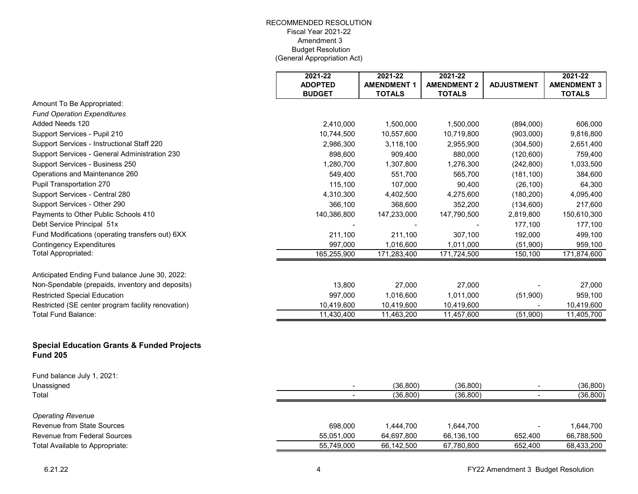|                                                                          | 2021-22<br><b>ADOPTED</b> | 2021-22<br><b>AMENDMENT 1</b> | 2021-22<br><b>AMENDMENT 2</b> | <b>ADJUSTMENT</b> | 2021-22<br><b>AMENDMENT 3</b> |
|--------------------------------------------------------------------------|---------------------------|-------------------------------|-------------------------------|-------------------|-------------------------------|
|                                                                          | <b>BUDGET</b>             | <b>TOTALS</b>                 | <b>TOTALS</b>                 |                   | <b>TOTALS</b>                 |
| Amount To Be Appropriated:                                               |                           |                               |                               |                   |                               |
| <b>Fund Operation Expenditures</b>                                       |                           |                               |                               |                   |                               |
| Added Needs 120                                                          | 2,410,000                 | 1,500,000                     | 1,500,000                     | (894,000)         | 606,000                       |
| Support Services - Pupil 210                                             | 10,744,500                | 10,557,600                    | 10,719,800                    | (903,000)         | 9,816,800                     |
| Support Services - Instructional Staff 220                               | 2,986,300                 | 3,118,100                     | 2,955,900                     | (304, 500)        | 2,651,400                     |
| Support Services - General Administration 230                            | 898,600                   | 909,400                       | 880,000                       | (120, 600)        | 759,400                       |
| Support Services - Business 250                                          | 1,280,700                 | 1,307,800                     | 1,276,300                     | (242, 800)        | 1,033,500                     |
| Operations and Maintenance 260                                           | 549,400                   | 551,700                       | 565,700                       | (181, 100)        | 384,600                       |
| Pupil Transportation 270                                                 | 115,100                   | 107,000                       | 90,400                        | (26, 100)         | 64,300                        |
| Support Services - Central 280                                           | 4,310,300                 | 4,402,500                     | 4,275,600                     | (180, 200)        | 4,095,400                     |
| Support Services - Other 290                                             | 366,100                   | 368,600                       | 352,200                       | (134, 600)        | 217,600                       |
| Payments to Other Public Schools 410                                     | 140,386,800               | 147,233,000                   | 147,790,500                   | 2,819,800         | 150,610,300                   |
| Debt Service Principal 51x                                               |                           |                               |                               | 177,100           | 177,100                       |
| Fund Modifications (operating transfers out) 6XX                         | 211,100                   | 211,100                       | 307,100                       | 192,000           | 499,100                       |
| <b>Contingency Expenditures</b>                                          | 997,000                   | 1,016,600                     | 1,011,000                     | (51,900)          | 959,100                       |
| Total Appropriated:                                                      | 165,255,900               | 171,283,400                   | 171,724,500                   | 150,100           | 171,874,600                   |
| Anticipated Ending Fund balance June 30, 2022:                           |                           |                               |                               |                   |                               |
| Non-Spendable (prepaids, inventory and deposits)                         | 13,800                    | 27,000                        | 27,000                        |                   | 27,000                        |
| <b>Restricted Special Education</b>                                      | 997,000                   | 1,016,600                     | 1,011,000                     | (51,900)          | 959,100                       |
| Restricted (SE center program facility renovation)                       | 10,419,600                | 10,419,600                    | 10,419,600                    |                   | 10,419,600                    |
| Total Fund Balance:                                                      | 11,430,400                | 11,463,200                    | 11,457,600                    | (51,900)          | 11,405,700                    |
|                                                                          |                           |                               |                               |                   |                               |
| <b>Special Education Grants &amp; Funded Projects</b><br><b>Fund 205</b> |                           |                               |                               |                   |                               |
| Fund balance July 1, 2021:                                               |                           |                               |                               |                   |                               |
| Unassigned                                                               |                           | (36, 800)                     | (36, 800)                     |                   | (36, 800)                     |
| Total                                                                    |                           | (36, 800)                     | (36, 800)                     |                   | (36, 800)                     |
| <b>Operating Revenue</b>                                                 |                           |                               |                               |                   |                               |
| <b>Revenue from State Sources</b>                                        | 698,000                   | 1,444,700                     | 1,644,700                     |                   | 1,644,700                     |
| Revenue from Federal Sources                                             | 55,051,000                | 64,697,800                    | 66,136,100                    | 652,400           | 66,788,500                    |
| Total Available to Appropriate:                                          | 55,749,000                | 66,142,500                    | 67,780,800                    | 652,400           | 68,433,200                    |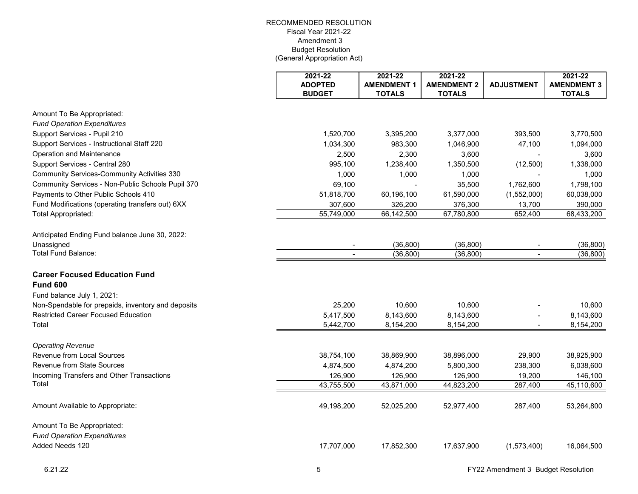|                                                    | 2021-22<br><b>ADOPTED</b><br><b>BUDGET</b> | 2021-22<br><b>AMENDMENT 1</b><br><b>TOTALS</b> | 2021-22<br><b>AMENDMENT 2</b><br><b>TOTALS</b> | <b>ADJUSTMENT</b> | 2021-22<br><b>AMENDMENT 3</b><br><b>TOTALS</b> |
|----------------------------------------------------|--------------------------------------------|------------------------------------------------|------------------------------------------------|-------------------|------------------------------------------------|
| Amount To Be Appropriated:                         |                                            |                                                |                                                |                   |                                                |
| <b>Fund Operation Expenditures</b>                 |                                            |                                                |                                                |                   |                                                |
| Support Services - Pupil 210                       | 1,520,700                                  | 3,395,200                                      | 3,377,000                                      | 393,500           | 3,770,500                                      |
| Support Services - Instructional Staff 220         | 1,034,300                                  | 983,300                                        | 1,046,900                                      | 47,100            | 1,094,000                                      |
| Operation and Maintenance                          | 2,500                                      | 2,300                                          | 3,600                                          |                   | 3,600                                          |
| Support Services - Central 280                     | 995,100                                    | 1,238,400                                      | 1,350,500                                      | (12,500)          | 1,338,000                                      |
| <b>Community Services-Community Activities 330</b> | 1,000                                      | 1,000                                          | 1,000                                          |                   | 1,000                                          |
| Community Services - Non-Public Schools Pupil 370  | 69,100                                     |                                                | 35,500                                         | 1,762,600         | 1,798,100                                      |
| Payments to Other Public Schools 410               | 51,818,700                                 | 60,196,100                                     | 61,590,000                                     | (1,552,000)       | 60,038,000                                     |
| Fund Modifications (operating transfers out) 6XX   | 307,600                                    | 326,200                                        | 376,300                                        | 13,700            | 390,000                                        |
| <b>Total Appropriated:</b>                         | 55,749,000                                 | 66,142,500                                     | 67,780,800                                     | 652,400           | 68,433,200                                     |
| Anticipated Ending Fund balance June 30, 2022:     |                                            |                                                |                                                |                   |                                                |
| Unassigned                                         |                                            | (36, 800)                                      | (36, 800)                                      |                   | (36, 800)                                      |
| Total Fund Balance:                                | $\blacksquare$                             | (36, 800)                                      | (36, 800)                                      | $\mathbf{r}$      | (36, 800)                                      |
| <b>Career Focused Education Fund</b>               |                                            |                                                |                                                |                   |                                                |
| <b>Fund 600</b>                                    |                                            |                                                |                                                |                   |                                                |
| Fund balance July 1, 2021:                         |                                            |                                                |                                                |                   |                                                |
| Non-Spendable for prepaids, inventory and deposits | 25,200                                     | 10,600                                         | 10,600                                         |                   | 10,600                                         |
| <b>Restricted Career Focused Education</b>         | 5,417,500                                  | 8,143,600                                      | 8,143,600                                      | $\blacksquare$    | 8,143,600                                      |
| Total                                              | 5,442,700                                  | 8,154,200                                      | 8,154,200                                      |                   | 8,154,200                                      |
| <b>Operating Revenue</b>                           |                                            |                                                |                                                |                   |                                                |
| Revenue from Local Sources                         | 38,754,100                                 | 38,869,900                                     | 38,896,000                                     | 29,900            | 38,925,900                                     |
| Revenue from State Sources                         | 4,874,500                                  | 4,874,200                                      | 5,800,300                                      | 238,300           | 6,038,600                                      |
| Incoming Transfers and Other Transactions          | 126,900                                    | 126,900                                        | 126,900                                        | 19,200            | 146,100                                        |
| Total                                              | 43,755,500                                 | 43,871,000                                     | 44,823,200                                     | 287,400           | 45,110,600                                     |
| Amount Available to Appropriate:                   | 49,198,200                                 | 52,025,200                                     | 52,977,400                                     | 287,400           | 53,264,800                                     |
| Amount To Be Appropriated:                         |                                            |                                                |                                                |                   |                                                |
| <b>Fund Operation Expenditures</b>                 |                                            |                                                |                                                |                   |                                                |
| Added Needs 120                                    | 17,707,000                                 | 17,852,300                                     | 17,637,900                                     | (1,573,400)       | 16,064,500                                     |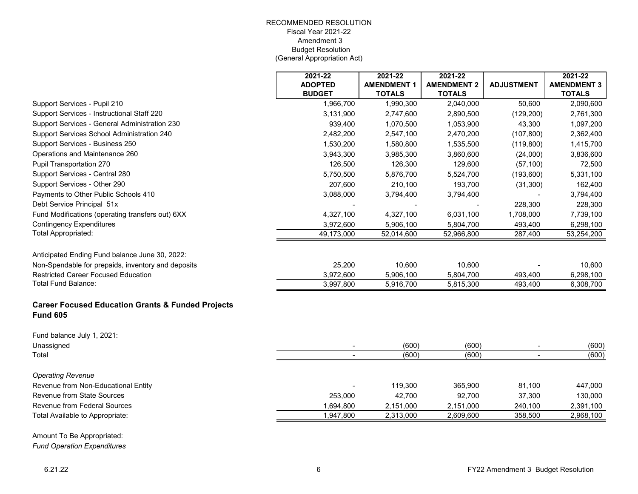|                                                                                 | 2021-22        | $2021 - 22$        | 2021-22            |                   | 2021-22            |
|---------------------------------------------------------------------------------|----------------|--------------------|--------------------|-------------------|--------------------|
|                                                                                 | <b>ADOPTED</b> | <b>AMENDMENT 1</b> | <b>AMENDMENT 2</b> | <b>ADJUSTMENT</b> | <b>AMENDMENT 3</b> |
|                                                                                 | <b>BUDGET</b>  | <b>TOTALS</b>      | <b>TOTALS</b>      |                   | <b>TOTALS</b>      |
| Support Services - Pupil 210                                                    | 1,966,700      | 1,990,300          | 2,040,000          | 50,600            | 2,090,600          |
| Support Services - Instructional Staff 220                                      | 3,131,900      | 2,747,600          | 2,890,500          | (129, 200)        | 2,761,300          |
| Support Services - General Administration 230                                   | 939,400        | 1,070,500          | 1,053,900          | 43,300            | 1,097,200          |
| Support Services School Administration 240                                      | 2,482,200      | 2,547,100          | 2,470,200          | (107, 800)        | 2,362,400          |
| Support Services - Business 250                                                 | 1,530,200      | 1,580,800          | 1,535,500          | (119, 800)        | 1,415,700          |
| Operations and Maintenance 260                                                  | 3,943,300      | 3,985,300          | 3,860,600          | (24,000)          | 3,836,600          |
| Pupil Transportation 270                                                        | 126,500        | 126,300            | 129,600            | (57, 100)         | 72,500             |
| Support Services - Central 280                                                  | 5,750,500      | 5,876,700          | 5,524,700          | (193,600)         | 5,331,100          |
| Support Services - Other 290                                                    | 207,600        | 210,100            | 193,700            | (31, 300)         | 162,400            |
| Payments to Other Public Schools 410                                            | 3,088,000      | 3,794,400          | 3,794,400          |                   | 3,794,400          |
| Debt Service Principal 51x                                                      |                |                    |                    | 228,300           | 228,300            |
| Fund Modifications (operating transfers out) 6XX                                | 4,327,100      | 4,327,100          | 6,031,100          | 1,708,000         | 7,739,100          |
| <b>Contingency Expenditures</b>                                                 | 3,972,600      | 5,906,100          | 5,804,700          | 493,400           | 6,298,100          |
| <b>Total Appropriated:</b>                                                      | 49,173,000     | 52,014,600         | 52,966,800         | 287,400           | 53,254,200         |
| Anticipated Ending Fund balance June 30, 2022:                                  |                |                    |                    |                   |                    |
| Non-Spendable for prepaids, inventory and deposits                              | 25,200         | 10,600             | 10,600             |                   | 10,600             |
| <b>Restricted Career Focused Education</b>                                      | 3,972,600      | 5,906,100          | 5,804,700          | 493,400           | 6,298,100          |
| Total Fund Balance:                                                             | 3,997,800      | 5,916,700          | 5,815,300          | 493,400           | 6,308,700          |
|                                                                                 |                |                    |                    |                   |                    |
| <b>Career Focused Education Grants &amp; Funded Projects</b><br><b>Fund 605</b> |                |                    |                    |                   |                    |
| Fund balance July 1, 2021:                                                      |                |                    |                    |                   |                    |
| Unassigned                                                                      |                | (600)              | (600)              |                   | (600)              |
| Total                                                                           |                | (600)              | (600)              |                   | (600)              |
| <b>Operating Revenue</b>                                                        |                |                    |                    |                   |                    |
| Revenue from Non-Educational Entity                                             |                | 119,300            | 365,900            | 81,100            | 447,000            |
| Revenue from State Sources                                                      | 253,000        | 42,700             | 92,700             | 37,300            | 130,000            |
| Revenue from Federal Sources                                                    | 1,694,800      | 2,151,000          | 2,151,000          | 240,100           | 2,391,100          |
| Total Available to Appropriate:                                                 | 1,947,800      | 2,313,000          | 2,609,600          | 358,500           | 2,968,100          |
|                                                                                 |                |                    |                    |                   |                    |
| Amount To Be Appropriated:                                                      |                |                    |                    |                   |                    |
|                                                                                 |                |                    |                    |                   |                    |

*Fund Operation Expenditures*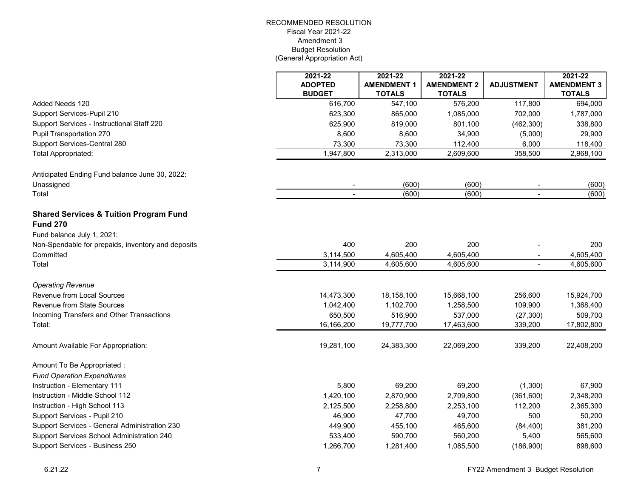|                                                    | 2021-22                | 2021-22                | 2021-22                |                   | 2021-22            |
|----------------------------------------------------|------------------------|------------------------|------------------------|-------------------|--------------------|
|                                                    | <b>ADOPTED</b>         | <b>AMENDMENT 1</b>     | <b>AMENDMENT 2</b>     | <b>ADJUSTMENT</b> | <b>AMENDMENT 3</b> |
|                                                    | <b>BUDGET</b>          | <b>TOTALS</b>          | <b>TOTALS</b>          |                   | <b>TOTALS</b>      |
| Added Needs 120                                    | 616,700                | 547,100                | 576,200                | 117,800           | 694,000            |
| Support Services-Pupil 210                         | 623,300                | 865,000                | 1,085,000              | 702,000           | 1,787,000          |
| Support Services - Instructional Staff 220         | 625,900                | 819,000                | 801,100                | (462, 300)        | 338,800            |
| Pupil Transportation 270                           | 8,600                  | 8,600                  | 34,900                 | (5,000)           | 29,900             |
| Support Services-Central 280                       | 73,300                 | 73,300                 | 112,400                | 6,000             | 118,400            |
| Total Appropriated:                                | 1,947,800              | 2,313,000              | 2,609,600              | 358,500           | 2,968,100          |
| Anticipated Ending Fund balance June 30, 2022:     |                        |                        |                        |                   |                    |
| Unassigned                                         |                        | (600)                  | (600)                  |                   | (600)              |
| Total                                              | $\blacksquare$         | (600)                  | (600)                  | $\sim$            | (600)              |
| <b>Shared Services &amp; Tuition Program Fund</b>  |                        |                        |                        |                   |                    |
| <b>Fund 270</b>                                    |                        |                        |                        |                   |                    |
| Fund balance July 1, 2021:                         |                        |                        |                        |                   |                    |
| Non-Spendable for prepaids, inventory and deposits | 400                    | 200                    | 200                    |                   | 200                |
| Committed                                          | 3,114,500<br>3,114,900 | 4,605,400<br>4,605,600 | 4,605,400<br>4,605,600 |                   | 4,605,400          |
| Total                                              |                        |                        |                        |                   | 4,605,600          |
| <b>Operating Revenue</b>                           |                        |                        |                        |                   |                    |
| <b>Revenue from Local Sources</b>                  | 14,473,300             | 18,158,100             | 15,668,100             | 256,600           | 15,924,700         |
| <b>Revenue from State Sources</b>                  | 1,042,400              | 1,102,700              | 1,258,500              | 109,900           | 1,368,400          |
| Incoming Transfers and Other Transactions          | 650,500                | 516,900                | 537,000                | (27, 300)         | 509,700            |
| Total:                                             | 16,166,200             | 19,777,700             | 17,463,600             | 339,200           | 17,802,800         |
| Amount Available For Appropriation:                | 19,281,100             | 24,383,300             | 22,069,200             | 339,200           | 22,408,200         |
| Amount To Be Appropriated :                        |                        |                        |                        |                   |                    |
| <b>Fund Operation Expenditures</b>                 |                        |                        |                        |                   |                    |
| Instruction - Elementary 111                       | 5,800                  | 69,200                 | 69,200                 | (1,300)           | 67,900             |
| Instruction - Middle School 112                    | 1,420,100              | 2,870,900              | 2,709,800              | (361,600)         | 2,348,200          |
| Instruction - High School 113                      | 2,125,500              | 2,258,800              | 2,253,100              | 112,200           | 2,365,300          |
| Support Services - Pupil 210                       | 46,900                 | 47,700                 | 49,700                 | 500               | 50,200             |
| Support Services - General Administration 230      | 449,900                | 455,100                | 465,600                | (84, 400)         | 381,200            |
| Support Services School Administration 240         | 533,400                | 590,700                | 560,200                | 5,400             | 565,600            |
| Support Services - Business 250                    | 1,266,700              | 1,281,400              | 1,085,500              | (186,900)         | 898,600            |
|                                                    |                        |                        |                        |                   |                    |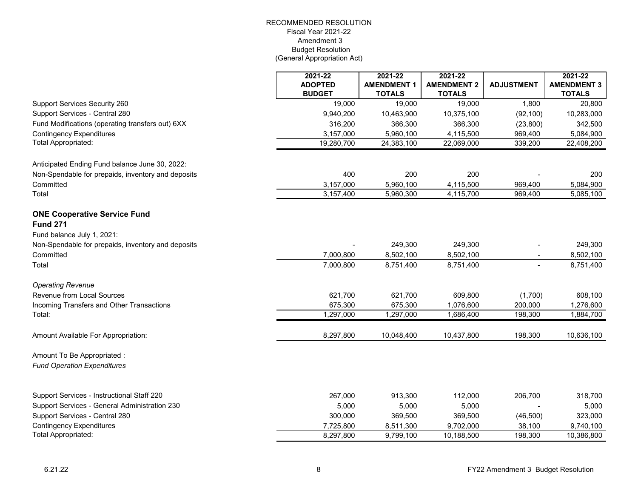|                                                    | 2021-22                         | $2021 - 22$                         | 2021-22                             |                   | 2021-22                             |
|----------------------------------------------------|---------------------------------|-------------------------------------|-------------------------------------|-------------------|-------------------------------------|
|                                                    | <b>ADOPTED</b><br><b>BUDGET</b> | <b>AMENDMENT 1</b><br><b>TOTALS</b> | <b>AMENDMENT 2</b><br><b>TOTALS</b> | <b>ADJUSTMENT</b> | <b>AMENDMENT 3</b><br><b>TOTALS</b> |
| Support Services Security 260                      | 19,000                          | 19,000                              | 19,000                              | 1,800             | 20,800                              |
| Support Services - Central 280                     | 9,940,200                       | 10,463,900                          | 10,375,100                          | (92, 100)         | 10,283,000                          |
| Fund Modifications (operating transfers out) 6XX   | 316,200                         | 366,300                             | 366,300                             | (23, 800)         | 342,500                             |
| <b>Contingency Expenditures</b>                    | 3,157,000                       | 5,960,100                           | 4,115,500                           | 969,400           | 5,084,900                           |
| <b>Total Appropriated:</b>                         | 19,280,700                      | 24,383,100                          | 22,069,000                          | 339,200           | 22,408,200                          |
|                                                    |                                 |                                     |                                     |                   |                                     |
| Anticipated Ending Fund balance June 30, 2022:     |                                 |                                     |                                     |                   |                                     |
| Non-Spendable for prepaids, inventory and deposits | 400                             | 200                                 | 200                                 |                   | 200                                 |
| Committed                                          | 3,157,000                       | 5,960,100                           | 4,115,500                           | 969,400           | 5,084,900                           |
| Total                                              | 3,157,400                       | 5,960,300                           | 4,115,700                           | 969,400           | 5,085,100                           |
|                                                    |                                 |                                     |                                     |                   |                                     |
| <b>ONE Cooperative Service Fund</b>                |                                 |                                     |                                     |                   |                                     |
| <b>Fund 271</b>                                    |                                 |                                     |                                     |                   |                                     |
| Fund balance July 1, 2021:                         |                                 |                                     |                                     |                   |                                     |
| Non-Spendable for prepaids, inventory and deposits |                                 | 249,300                             | 249,300                             |                   | 249,300                             |
| Committed                                          | 7,000,800                       | 8,502,100                           | 8,502,100                           |                   | 8,502,100                           |
| Total                                              | 7,000,800                       | 8,751,400                           | 8,751,400                           |                   | 8,751,400                           |
| <b>Operating Revenue</b>                           |                                 |                                     |                                     |                   |                                     |
| Revenue from Local Sources                         | 621,700                         | 621,700                             | 609,800                             | (1,700)           | 608,100                             |
| Incoming Transfers and Other Transactions          | 675,300                         | 675,300                             | 1,076,600                           | 200,000           | 1,276,600                           |
| Total:                                             | 1,297,000                       | 1,297,000                           | 1,686,400                           | 198,300           | 1,884,700                           |
|                                                    |                                 |                                     |                                     |                   |                                     |
| Amount Available For Appropriation:                | 8,297,800                       | 10,048,400                          | 10,437,800                          | 198,300           | 10,636,100                          |
| Amount To Be Appropriated :                        |                                 |                                     |                                     |                   |                                     |
| <b>Fund Operation Expenditures</b>                 |                                 |                                     |                                     |                   |                                     |
|                                                    |                                 |                                     |                                     |                   |                                     |
| Support Services - Instructional Staff 220         | 267,000                         | 913,300                             | 112,000                             | 206,700           | 318,700                             |
| Support Services - General Administration 230      | 5,000                           | 5,000                               | 5,000                               |                   | 5,000                               |
| Support Services - Central 280                     | 300,000                         | 369,500                             | 369,500                             | (46, 500)         | 323,000                             |
| <b>Contingency Expenditures</b>                    | 7,725,800                       | 8,511,300                           | 9,702,000                           | 38,100            | 9,740,100                           |
| Total Appropriated:                                | 8,297,800                       | 9,799,100                           | 10,188,500                          | 198,300           | 10,386,800                          |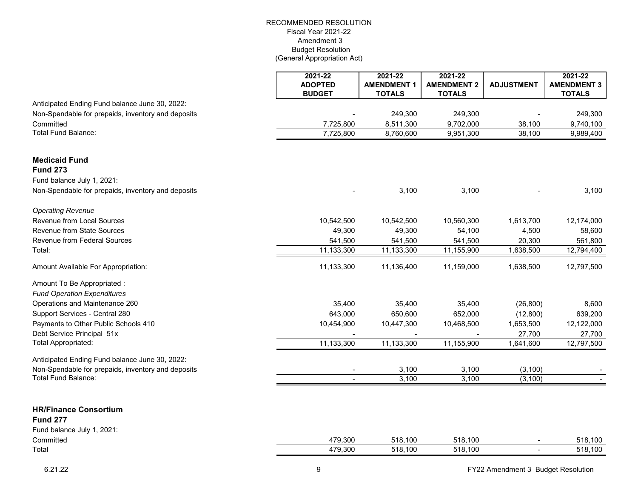|                                                          | 2021-22                         | 2021-22                             | 2021-22                             |                   | 2021-22                             |
|----------------------------------------------------------|---------------------------------|-------------------------------------|-------------------------------------|-------------------|-------------------------------------|
|                                                          | <b>ADOPTED</b><br><b>BUDGET</b> | <b>AMENDMENT 1</b><br><b>TOTALS</b> | <b>AMENDMENT 2</b><br><b>TOTALS</b> | <b>ADJUSTMENT</b> | <b>AMENDMENT 3</b><br><b>TOTALS</b> |
| Anticipated Ending Fund balance June 30, 2022:           |                                 |                                     |                                     |                   |                                     |
| Non-Spendable for prepaids, inventory and deposits       |                                 | 249,300                             | 249,300                             |                   | 249,300                             |
| Committed                                                | 7,725,800                       | 8,511,300                           | 9,702,000                           | 38,100            | 9,740,100                           |
| <b>Total Fund Balance:</b>                               | 7,725,800                       | 8,760,600                           | 9,951,300                           | 38,100            | 9,989,400                           |
| <b>Medicaid Fund</b>                                     |                                 |                                     |                                     |                   |                                     |
| <b>Fund 273</b>                                          |                                 |                                     |                                     |                   |                                     |
| Fund balance July 1, 2021:                               |                                 |                                     |                                     |                   |                                     |
| Non-Spendable for prepaids, inventory and deposits       |                                 | 3,100                               | 3,100                               |                   | 3,100                               |
| <b>Operating Revenue</b>                                 |                                 |                                     |                                     |                   |                                     |
| Revenue from Local Sources                               | 10,542,500                      | 10,542,500                          | 10,560,300                          | 1,613,700         | 12,174,000                          |
| Revenue from State Sources                               | 49,300                          | 49,300                              | 54,100                              | 4,500             | 58,600                              |
| Revenue from Federal Sources                             | 541,500                         | 541,500                             | 541,500                             | 20,300            | 561,800                             |
| Total:                                                   | 11,133,300                      | 11,133,300                          | 11,155,900                          | 1,638,500         | 12,794,400                          |
| Amount Available For Appropriation:                      | 11,133,300                      | 11,136,400                          | 11,159,000                          | 1,638,500         | 12,797,500                          |
| Amount To Be Appropriated :                              |                                 |                                     |                                     |                   |                                     |
| <b>Fund Operation Expenditures</b>                       |                                 |                                     |                                     |                   |                                     |
| Operations and Maintenance 260                           | 35,400                          | 35,400                              | 35,400                              | (26, 800)         | 8,600                               |
| Support Services - Central 280                           | 643,000                         | 650,600                             | 652,000                             | (12,800)          | 639,200                             |
| Payments to Other Public Schools 410                     | 10,454,900                      | 10,447,300                          | 10,468,500                          | 1,653,500         | 12,122,000                          |
| Debt Service Principal 51x<br><b>Total Appropriated:</b> |                                 |                                     |                                     | 27,700            | 27,700                              |
|                                                          | 11,133,300                      | 11,133,300                          | 11,155,900                          | 1,641,600         | 12,797,500                          |
| Anticipated Ending Fund balance June 30, 2022:           |                                 |                                     |                                     |                   |                                     |
| Non-Spendable for prepaids, inventory and deposits       |                                 | 3,100                               | 3,100                               | (3, 100)          |                                     |
| Total Fund Balance:                                      |                                 | 3,100                               | 3,100                               | (3, 100)          |                                     |
|                                                          |                                 |                                     |                                     |                   |                                     |
| <b>HR/Finance Consortium</b>                             |                                 |                                     |                                     |                   |                                     |
| <b>Fund 277</b>                                          |                                 |                                     |                                     |                   |                                     |
| Fund balance July 1, 2021:                               |                                 |                                     |                                     |                   |                                     |
| Committed                                                | 479,300                         | 518,100                             | 518,100                             |                   | 518,100                             |
| Total                                                    | 479,300                         | 518,100                             | 518,100                             | $\blacksquare$    | 518,100                             |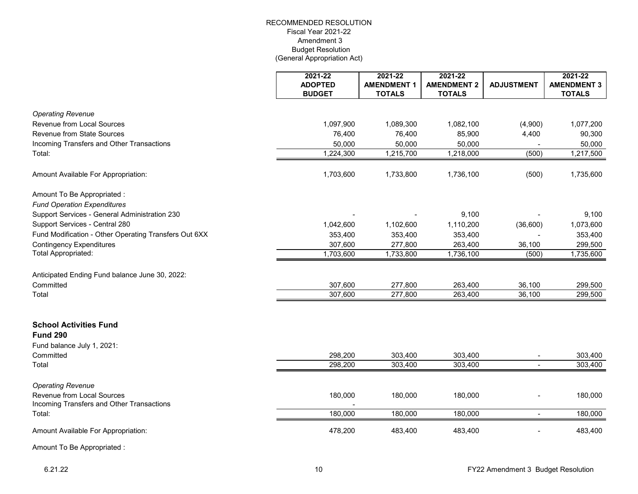|                                                                         | 2021-22<br><b>ADOPTED</b> | 2021-22<br><b>AMENDMENT 1</b> | 2021-22<br><b>AMENDMENT 2</b> | <b>ADJUSTMENT</b> | 2021-22<br><b>AMENDMENT 3</b> |
|-------------------------------------------------------------------------|---------------------------|-------------------------------|-------------------------------|-------------------|-------------------------------|
|                                                                         | <b>BUDGET</b>             | <b>TOTALS</b>                 | <b>TOTALS</b>                 |                   | <b>TOTALS</b>                 |
| <b>Operating Revenue</b>                                                |                           |                               |                               |                   |                               |
| Revenue from Local Sources                                              | 1,097,900                 | 1,089,300                     | 1,082,100                     | (4,900)           | 1,077,200                     |
| <b>Revenue from State Sources</b>                                       | 76,400                    | 76,400                        | 85,900                        | 4,400             | 90,300                        |
| Incoming Transfers and Other Transactions                               | 50,000                    | 50,000                        | 50,000                        |                   | 50,000                        |
| Total:                                                                  | 1,224,300                 | 1,215,700                     | 1,218,000                     | (500)             | 1,217,500                     |
| Amount Available For Appropriation:                                     | 1,703,600                 | 1,733,800                     | 1,736,100                     | (500)             | 1,735,600                     |
| Amount To Be Appropriated :                                             |                           |                               |                               |                   |                               |
| <b>Fund Operation Expenditures</b>                                      |                           |                               |                               |                   |                               |
| Support Services - General Administration 230                           |                           |                               | 9,100                         |                   | 9,100                         |
| Support Services - Central 280                                          | 1,042,600                 | 1,102,600                     | 1,110,200                     | (36,600)          | 1,073,600                     |
| Fund Modification - Other Operating Transfers Out 6XX                   | 353,400                   | 353,400                       | 353,400                       |                   | 353,400                       |
| <b>Contingency Expenditures</b>                                         | 307,600                   | 277,800                       | 263,400                       | 36,100            | 299,500                       |
| <b>Total Appropriated:</b>                                              | 1,703,600                 | 1,733,800                     | 1,736,100                     | (500)             | 1,735,600                     |
| Anticipated Ending Fund balance June 30, 2022:                          |                           |                               |                               |                   |                               |
| Committed                                                               | 307,600                   | 277,800                       | 263,400                       | 36,100            | 299,500                       |
| Total                                                                   | 307,600                   | 277,800                       | 263,400                       | 36,100            | 299,500                       |
|                                                                         |                           |                               |                               |                   |                               |
| <b>School Activities Fund</b><br><b>Fund 290</b>                        |                           |                               |                               |                   |                               |
| Fund balance July 1, 2021:                                              |                           |                               |                               |                   |                               |
| Committed                                                               | 298,200                   | 303,400                       | 303,400                       |                   | 303,400                       |
| Total                                                                   | 298,200                   | 303,400                       | 303,400                       | $\sim$            | 303,400                       |
|                                                                         |                           |                               |                               |                   |                               |
| <b>Operating Revenue</b>                                                |                           |                               |                               |                   |                               |
| Revenue from Local Sources<br>Incoming Transfers and Other Transactions | 180,000                   | 180,000                       | 180,000                       |                   | 180,000                       |
| Total:                                                                  | 180,000                   | 180,000                       | 180,000                       | $\blacksquare$    | 180,000                       |
| Amount Available For Appropriation:                                     | 478,200                   | 483,400                       | 483,400                       |                   | 483,400                       |
| $A_{\text{max}}$ and $T = D - A_{\text{max}}$ and $A - A$               |                           |                               |                               |                   |                               |

Amount To Be Appropriated :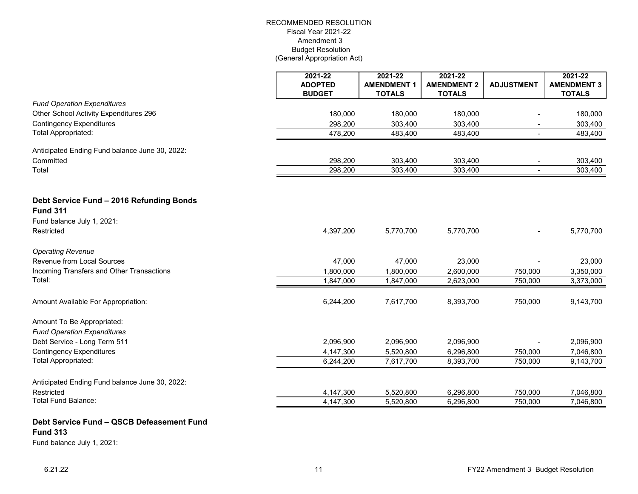|                                                | 2021-22                         | 2021-22                             | 2021-22                             |                   | 2021-22                             |
|------------------------------------------------|---------------------------------|-------------------------------------|-------------------------------------|-------------------|-------------------------------------|
|                                                | <b>ADOPTED</b><br><b>BUDGET</b> | <b>AMENDMENT 1</b><br><b>TOTALS</b> | <b>AMENDMENT 2</b><br><b>TOTALS</b> | <b>ADJUSTMENT</b> | <b>AMENDMENT 3</b><br><b>TOTALS</b> |
| <b>Fund Operation Expenditures</b>             |                                 |                                     |                                     |                   |                                     |
| Other School Activity Expenditures 296         | 180,000                         | 180,000                             | 180,000                             |                   | 180,000                             |
| <b>Contingency Expenditures</b>                | 298,200                         | 303,400                             | 303,400                             |                   | 303,400                             |
| <b>Total Appropriated:</b>                     | 478,200                         | 483,400                             | 483,400                             | $\blacksquare$    | 483,400                             |
|                                                |                                 |                                     |                                     |                   |                                     |
| Anticipated Ending Fund balance June 30, 2022: |                                 |                                     |                                     |                   |                                     |
| Committed                                      | 298,200                         | 303,400                             | 303,400                             | $\blacksquare$    | 303,400                             |
| Total                                          | 298,200                         | 303,400                             | 303,400                             | $\blacksquare$    | 303,400                             |
|                                                |                                 |                                     |                                     |                   |                                     |
|                                                |                                 |                                     |                                     |                   |                                     |
| Debt Service Fund - 2016 Refunding Bonds       |                                 |                                     |                                     |                   |                                     |
| <b>Fund 311</b>                                |                                 |                                     |                                     |                   |                                     |
| Fund balance July 1, 2021:                     |                                 |                                     |                                     |                   |                                     |
| Restricted                                     | 4,397,200                       | 5,770,700                           | 5,770,700                           |                   | 5,770,700                           |
| <b>Operating Revenue</b>                       |                                 |                                     |                                     |                   |                                     |
| Revenue from Local Sources                     | 47,000                          | 47,000                              | 23,000                              |                   | 23,000                              |
| Incoming Transfers and Other Transactions      | 1,800,000                       | 1,800,000                           | 2,600,000                           | 750,000           | 3,350,000                           |
| Total:                                         | 1,847,000                       | 1,847,000                           | 2,623,000                           | 750,000           | 3,373,000                           |
|                                                |                                 |                                     |                                     |                   |                                     |
| Amount Available For Appropriation:            | 6,244,200                       | 7,617,700                           | 8,393,700                           | 750,000           | 9,143,700                           |
|                                                |                                 |                                     |                                     |                   |                                     |
| Amount To Be Appropriated:                     |                                 |                                     |                                     |                   |                                     |
| <b>Fund Operation Expenditures</b>             |                                 |                                     |                                     |                   |                                     |
| Debt Service - Long Term 511                   | 2,096,900                       | 2,096,900                           | 2,096,900                           |                   | 2,096,900                           |
| <b>Contingency Expenditures</b>                | 4,147,300                       | 5,520,800                           | 6,296,800                           | 750,000           | 7,046,800                           |
| <b>Total Appropriated:</b>                     | 6,244,200                       | 7,617,700                           | 8,393,700                           | 750,000           | 9,143,700                           |
|                                                |                                 |                                     |                                     |                   |                                     |
| Anticipated Ending Fund balance June 30, 2022: |                                 |                                     |                                     |                   |                                     |
| Restricted                                     | 4,147,300                       | 5,520,800                           | 6,296,800                           | 750,000           | 7,046,800                           |
| <b>Total Fund Balance:</b>                     | 4,147,300                       | 5,520,800                           | 6,296,800                           | 750,000           | 7,046,800                           |
|                                                |                                 |                                     |                                     |                   |                                     |

# **Debt Service Fund – QSCB Defeasement Fund Fund 313** Fund balance July 1, 2021: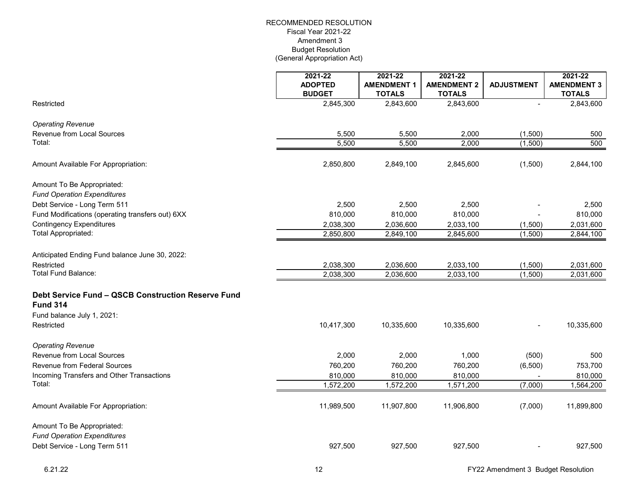|                                                                                                     | 2021-22<br><b>ADOPTED</b> | 2021-22<br><b>AMENDMENT 1</b> | 2021-22<br><b>AMENDMENT 2</b> | <b>ADJUSTMENT</b> | 2021-22<br><b>AMENDMENT 3</b> |
|-----------------------------------------------------------------------------------------------------|---------------------------|-------------------------------|-------------------------------|-------------------|-------------------------------|
|                                                                                                     | <b>BUDGET</b>             | <b>TOTALS</b>                 | <b>TOTALS</b>                 |                   | <b>TOTALS</b>                 |
| Restricted                                                                                          | 2,845,300                 | 2,843,600                     | 2,843,600                     |                   | 2,843,600                     |
| <b>Operating Revenue</b>                                                                            |                           |                               |                               |                   |                               |
| Revenue from Local Sources                                                                          | 5,500                     | 5,500                         | 2,000                         | (1,500)           | 500                           |
| Total:                                                                                              | 5,500                     | 5,500                         | 2,000                         | (1,500)           | 500                           |
| Amount Available For Appropriation:                                                                 | 2,850,800                 | 2,849,100                     | 2,845,600                     | (1,500)           | 2,844,100                     |
| Amount To Be Appropriated:<br><b>Fund Operation Expenditures</b>                                    |                           |                               |                               |                   |                               |
| Debt Service - Long Term 511                                                                        | 2,500                     | 2,500                         | 2,500                         |                   | 2,500                         |
| Fund Modifications (operating transfers out) 6XX                                                    | 810,000                   | 810,000                       | 810,000                       |                   | 810,000                       |
| <b>Contingency Expenditures</b>                                                                     | 2,038,300                 | 2,036,600                     | 2,033,100                     | (1,500)           | 2,031,600                     |
| Total Appropriated:                                                                                 | 2,850,800                 | 2,849,100                     | 2,845,600                     | (1,500)           | 2,844,100                     |
| Anticipated Ending Fund balance June 30, 2022:                                                      |                           |                               |                               |                   |                               |
| Restricted                                                                                          | 2,038,300                 | 2,036,600                     | 2,033,100                     | (1,500)           | 2,031,600                     |
| Total Fund Balance:                                                                                 | 2,038,300                 | 2,036,600                     | 2,033,100                     | (1,500)           | 2,031,600                     |
| Debt Service Fund - QSCB Construction Reserve Fund<br><b>Fund 314</b><br>Fund balance July 1, 2021: |                           |                               |                               |                   |                               |
| Restricted                                                                                          | 10,417,300                | 10,335,600                    | 10,335,600                    |                   | 10,335,600                    |
| <b>Operating Revenue</b>                                                                            |                           |                               |                               |                   |                               |
| Revenue from Local Sources                                                                          | 2,000                     | 2,000                         | 1,000                         | (500)             | 500                           |
| <b>Revenue from Federal Sources</b>                                                                 | 760,200                   | 760,200                       | 760,200                       | (6,500)           | 753,700                       |
| Incoming Transfers and Other Transactions                                                           | 810,000                   | 810,000                       | 810,000                       |                   | 810,000                       |
| Total:                                                                                              | 1,572,200                 | 1,572,200                     | 1,571,200                     | (7,000)           | 1,564,200                     |
| Amount Available For Appropriation:                                                                 | 11,989,500                | 11,907,800                    | 11,906,800                    | (7,000)           | 11,899,800                    |
| Amount To Be Appropriated:<br><b>Fund Operation Expenditures</b><br>Debt Service - Long Term 511    | 927,500                   | 927,500                       | 927,500                       |                   | 927,500                       |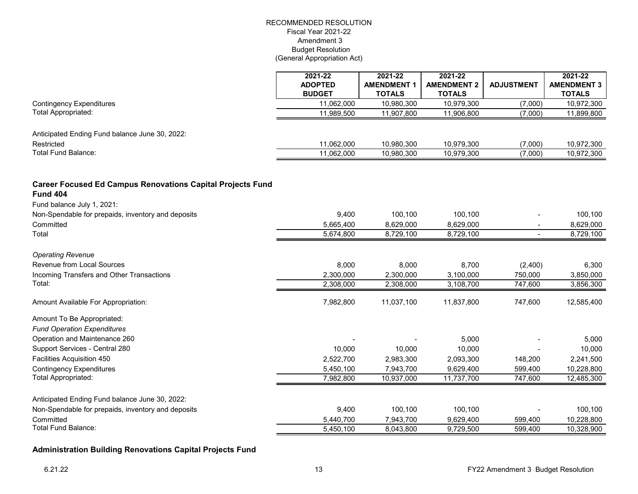|                                                                   | 2021-22<br><b>ADOPTED</b> | 2021-22<br><b>AMENDMENT 1</b> | 2021-22<br><b>AMENDMENT 2</b> | <b>ADJUSTMENT</b> | 2021-22<br><b>AMENDMENT 3</b> |
|-------------------------------------------------------------------|---------------------------|-------------------------------|-------------------------------|-------------------|-------------------------------|
|                                                                   | <b>BUDGET</b>             | <b>TOTALS</b>                 | <b>TOTALS</b>                 |                   | <b>TOTALS</b>                 |
| <b>Contingency Expenditures</b>                                   | 11,062,000                | 10,980,300                    | 10,979,300                    | (7,000)           | 10,972,300                    |
| <b>Total Appropriated:</b>                                        | 11,989,500                | 11,907,800                    | 11,906,800                    | (7,000)           | 11,899,800                    |
|                                                                   |                           |                               |                               |                   |                               |
| Anticipated Ending Fund balance June 30, 2022:                    |                           |                               |                               |                   |                               |
| Restricted                                                        | 11,062,000                | 10,980,300                    | 10,979,300                    | (7,000)           | 10,972,300                    |
| <b>Total Fund Balance:</b>                                        | 11,062,000                | 10,980,300                    | 10,979,300                    | (7,000)           | 10,972,300                    |
| <b>Career Focused Ed Campus Renovations Capital Projects Fund</b> |                           |                               |                               |                   |                               |
| <b>Fund 404</b>                                                   |                           |                               |                               |                   |                               |
| Fund balance July 1, 2021:                                        |                           |                               |                               |                   |                               |
| Non-Spendable for prepaids, inventory and deposits                | 9,400                     | 100,100                       | 100,100                       |                   | 100,100                       |
| Committed                                                         | 5,665,400                 | 8,629,000                     | 8,629,000                     |                   | 8,629,000                     |
| Total                                                             | 5,674,800                 | 8,729,100                     | 8,729,100                     |                   | 8,729,100                     |
| <b>Operating Revenue</b>                                          |                           |                               |                               |                   |                               |
| Revenue from Local Sources                                        | 8,000                     | 8,000                         | 8,700                         | (2,400)           | 6,300                         |
| Incoming Transfers and Other Transactions                         | 2,300,000                 | 2,300,000                     | 3,100,000                     | 750,000           | 3,850,000                     |
| Total:                                                            | 2,308,000                 | 2,308,000                     | 3,108,700                     | 747,600           | 3,856,300                     |
|                                                                   |                           |                               |                               |                   |                               |
| Amount Available For Appropriation:                               | 7,982,800                 | 11,037,100                    | 11,837,800                    | 747,600           | 12,585,400                    |
| Amount To Be Appropriated:                                        |                           |                               |                               |                   |                               |
| <b>Fund Operation Expenditures</b>                                |                           |                               |                               |                   |                               |
| Operation and Maintenance 260                                     |                           |                               | 5,000                         |                   | 5,000                         |
| Support Services - Central 280                                    | 10,000                    | 10,000                        | 10,000                        |                   | 10,000                        |
| Facilities Acquisition 450                                        | 2,522,700                 | 2,983,300                     | 2,093,300                     | 148,200           | 2,241,500                     |
| <b>Contingency Expenditures</b>                                   | 5,450,100                 | 7,943,700                     | 9,629,400                     | 599,400           | 10,228,800                    |
| <b>Total Appropriated:</b>                                        | 7,982,800                 | 10,937,000                    | 11,737,700                    | 747,600           | 12,485,300                    |
|                                                                   |                           |                               |                               |                   |                               |
| Anticipated Ending Fund balance June 30, 2022:                    |                           |                               |                               |                   |                               |
| Non-Spendable for prepaids, inventory and deposits                | 9,400                     | 100,100                       | 100,100                       |                   | 100,100                       |
| Committed<br><b>Total Fund Balance:</b>                           | 5,440,700                 | 7,943,700                     | 9,629,400                     | 599,400           | 10,228,800                    |
|                                                                   | 5,450,100                 | 8,043,800                     | 9,729,500                     | 599,400           | 10,328,900                    |

# **Administration Building Renovations Capital Projects Fund**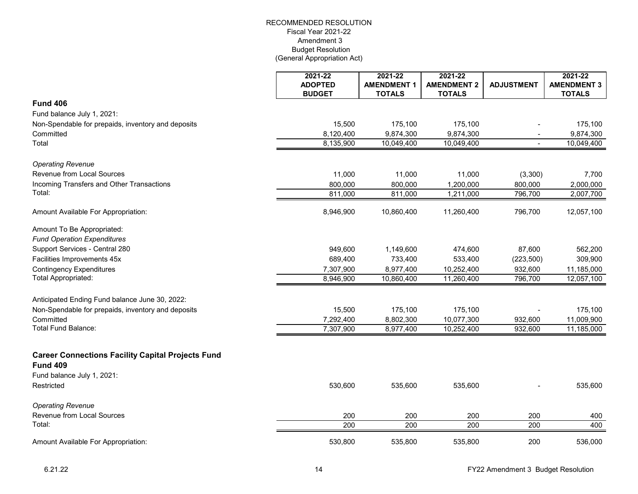|                                                                             | 2021-22<br><b>ADOPTED</b><br><b>BUDGET</b> | 2021-22<br><b>AMENDMENT 1</b><br><b>TOTALS</b> | 2021-22<br><b>AMENDMENT 2</b><br><b>TOTALS</b> | <b>ADJUSTMENT</b> | 2021-22<br><b>AMENDMENT 3</b><br><b>TOTALS</b> |
|-----------------------------------------------------------------------------|--------------------------------------------|------------------------------------------------|------------------------------------------------|-------------------|------------------------------------------------|
| <b>Fund 406</b>                                                             |                                            |                                                |                                                |                   |                                                |
| Fund balance July 1, 2021:                                                  |                                            |                                                |                                                |                   |                                                |
| Non-Spendable for prepaids, inventory and deposits                          | 15,500                                     | 175,100                                        | 175,100                                        |                   | 175,100                                        |
| Committed                                                                   | 8,120,400                                  | 9,874,300                                      | 9,874,300                                      |                   | 9,874,300                                      |
| Total                                                                       | 8,135,900                                  | 10,049,400                                     | 10,049,400                                     | $\blacksquare$    | 10,049,400                                     |
| <b>Operating Revenue</b>                                                    |                                            |                                                |                                                |                   |                                                |
| Revenue from Local Sources                                                  | 11,000                                     | 11,000                                         | 11,000                                         | (3,300)           | 7,700                                          |
| Incoming Transfers and Other Transactions                                   | 800,000                                    | 800,000                                        | 1,200,000                                      | 800,000           | 2,000,000                                      |
| Total:                                                                      | 811,000                                    | 811,000                                        | 1,211,000                                      | 796,700           | 2,007,700                                      |
| Amount Available For Appropriation:                                         | 8,946,900                                  | 10,860,400                                     | 11,260,400                                     | 796,700           | 12,057,100                                     |
| Amount To Be Appropriated:<br><b>Fund Operation Expenditures</b>            |                                            |                                                |                                                |                   |                                                |
| Support Services - Central 280                                              | 949,600                                    | 1,149,600                                      | 474,600                                        | 87,600            | 562,200                                        |
| Facilities Improvements 45x                                                 | 689,400                                    | 733,400                                        | 533,400                                        | (223, 500)        | 309,900                                        |
| <b>Contingency Expenditures</b>                                             | 7,307,900                                  | 8,977,400                                      | 10,252,400                                     | 932,600           | 11,185,000                                     |
| <b>Total Appropriated:</b>                                                  | 8,946,900                                  | 10,860,400                                     | 11,260,400                                     | 796,700           | 12,057,100                                     |
| Anticipated Ending Fund balance June 30, 2022:                              |                                            |                                                |                                                |                   |                                                |
| Non-Spendable for prepaids, inventory and deposits                          | 15,500                                     | 175,100                                        | 175,100                                        |                   | 175,100                                        |
| Committed                                                                   | 7,292,400                                  | 8,802,300                                      | 10,077,300                                     | 932,600           | 11,009,900                                     |
| Total Fund Balance:                                                         | 7,307,900                                  | 8,977,400                                      | 10,252,400                                     | 932,600           | 11,185,000                                     |
| <b>Career Connections Facility Capital Projects Fund</b><br><b>Fund 409</b> |                                            |                                                |                                                |                   |                                                |
| Fund balance July 1, 2021:                                                  |                                            |                                                |                                                |                   |                                                |
| Restricted                                                                  | 530,600                                    | 535,600                                        | 535,600                                        |                   | 535,600                                        |
| <b>Operating Revenue</b>                                                    |                                            |                                                |                                                |                   |                                                |
| Revenue from Local Sources                                                  | 200                                        | 200                                            | 200                                            | 200               | 400                                            |
| Total:                                                                      | $\overline{200}$                           | $\overline{200}$                               | $\overline{200}$                               | $\overline{200}$  | 400                                            |
| Amount Available For Appropriation:                                         | 530,800                                    | 535,800                                        | 535,800                                        | 200               | 536,000                                        |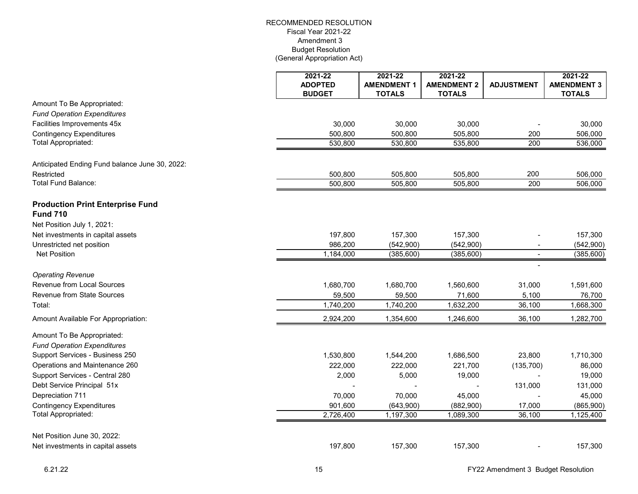|                                                                  | 2021-22<br><b>ADOPTED</b><br><b>BUDGET</b> | 2021-22<br><b>AMENDMENT 1</b><br><b>TOTALS</b> | 2021-22<br><b>AMENDMENT 2</b><br><b>TOTALS</b> | <b>ADJUSTMENT</b> | 2021-22<br><b>AMENDMENT 3</b><br><b>TOTALS</b> |
|------------------------------------------------------------------|--------------------------------------------|------------------------------------------------|------------------------------------------------|-------------------|------------------------------------------------|
| Amount To Be Appropriated:                                       |                                            |                                                |                                                |                   |                                                |
| <b>Fund Operation Expenditures</b>                               |                                            |                                                |                                                |                   |                                                |
| Facilities Improvements 45x                                      | 30,000                                     | 30,000                                         | 30,000                                         |                   | 30,000                                         |
| <b>Contingency Expenditures</b>                                  | 500,800                                    | 500,800                                        | 505,800                                        | 200               | 506,000                                        |
| Total Appropriated:                                              | 530,800                                    | 530,800                                        | 535,800                                        | 200               | 536,000                                        |
| Anticipated Ending Fund balance June 30, 2022:                   |                                            |                                                |                                                |                   |                                                |
| Restricted                                                       | 500,800                                    | 505,800                                        | 505,800                                        | 200               | 506,000                                        |
| <b>Total Fund Balance:</b>                                       | 500,800                                    | 505,800                                        | 505,800                                        | 200               | 506,000                                        |
| <b>Production Print Enterprise Fund</b><br><b>Fund 710</b>       |                                            |                                                |                                                |                   |                                                |
| Net Position July 1, 2021:                                       |                                            |                                                |                                                |                   |                                                |
| Net investments in capital assets                                | 197,800                                    | 157,300                                        | 157,300                                        |                   | 157,300                                        |
| Unrestricted net position                                        | 986,200                                    | (542,900)                                      | (542,900)                                      |                   | (542,900)                                      |
| <b>Net Position</b>                                              | 1,184,000                                  | (385, 600)                                     | (385, 600)                                     |                   | (385, 600)                                     |
| <b>Operating Revenue</b>                                         |                                            |                                                |                                                |                   |                                                |
| Revenue from Local Sources                                       | 1,680,700                                  | 1,680,700                                      | 1,560,600                                      | 31,000            | 1,591,600                                      |
| Revenue from State Sources                                       | 59,500                                     | 59,500                                         | 71,600                                         | 5,100             | 76,700                                         |
| Total:                                                           | 1,740,200                                  | 1,740,200                                      | 1,632,200                                      | 36,100            | 1,668,300                                      |
| Amount Available For Appropriation:                              | 2,924,200                                  | 1,354,600                                      | 1,246,600                                      | 36,100            | 1,282,700                                      |
| Amount To Be Appropriated:<br><b>Fund Operation Expenditures</b> |                                            |                                                |                                                |                   |                                                |
| Support Services - Business 250                                  | 1,530,800                                  | 1,544,200                                      | 1,686,500                                      | 23,800            | 1,710,300                                      |
| Operations and Maintenance 260                                   | 222,000                                    | 222,000                                        | 221,700                                        | (135, 700)        | 86,000                                         |
| Support Services - Central 280                                   | 2,000                                      | 5,000                                          | 19,000                                         |                   | 19,000                                         |
| Debt Service Principal 51x                                       |                                            |                                                |                                                | 131,000           | 131,000                                        |
| Depreciation 711                                                 | 70,000                                     | 70,000                                         | 45,000                                         |                   | 45,000                                         |
| <b>Contingency Expenditures</b>                                  | 901,600                                    | (643,900)                                      | (882,900)                                      | 17,000            | (865,900)                                      |
| Total Appropriated:                                              | 2,726,400                                  | 1,197,300                                      | 1,089,300                                      | 36,100            | 1,125,400                                      |
| Net Position June 30, 2022:                                      |                                            |                                                |                                                |                   |                                                |
| Net investments in capital assets                                | 197,800                                    | 157,300                                        | 157,300                                        |                   | 157,300                                        |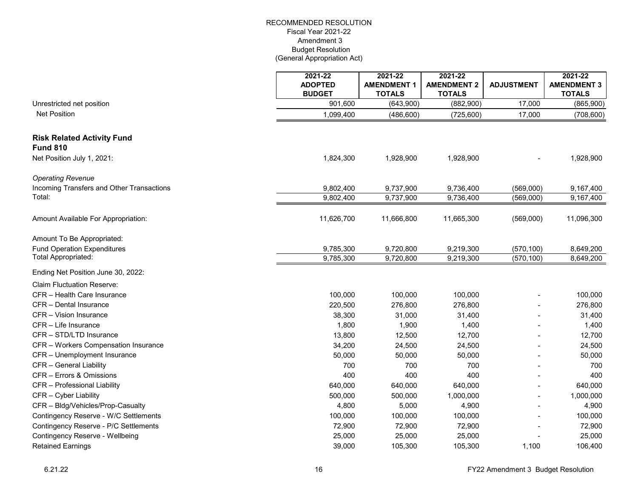|                                                                                    | 2021-22<br><b>ADOPTED</b> | 2021-22<br><b>AMENDMENT 1</b> | $2021 - 22$<br><b>AMENDMENT 2</b> | <b>ADJUSTMENT</b> | 2021-22<br><b>AMENDMENT 3</b> |
|------------------------------------------------------------------------------------|---------------------------|-------------------------------|-----------------------------------|-------------------|-------------------------------|
|                                                                                    | <b>BUDGET</b>             | <b>TOTALS</b>                 | <b>TOTALS</b>                     |                   | <b>TOTALS</b>                 |
| Unrestricted net position                                                          | 901,600                   | (643,900)                     | (882,900)                         | 17,000            | (865,900)                     |
| <b>Net Position</b>                                                                | 1,099,400                 | (486, 600)                    | (725, 600)                        | 17,000            | (708, 600)                    |
| <b>Risk Related Activity Fund</b><br><b>Fund 810</b><br>Net Position July 1, 2021: | 1,824,300                 | 1,928,900                     | 1,928,900                         |                   | 1,928,900                     |
| <b>Operating Revenue</b><br>Incoming Transfers and Other Transactions              | 9,802,400                 | 9,737,900                     | 9,736,400                         | (569,000)         | 9,167,400                     |
| Total:                                                                             | 9,802,400                 | 9,737,900                     | 9,736,400                         | (569,000)         | 9,167,400                     |
|                                                                                    |                           |                               |                                   |                   |                               |
| Amount Available For Appropriation:                                                | 11,626,700                | 11,666,800                    | 11,665,300                        | (569,000)         | 11,096,300                    |
| Amount To Be Appropriated:                                                         |                           |                               |                                   |                   |                               |
| <b>Fund Operation Expenditures</b>                                                 | 9,785,300                 | 9,720,800                     | 9,219,300                         | (570, 100)        | 8,649,200                     |
| Total Appropriated:                                                                | 9,785,300                 | 9,720,800                     | 9,219,300                         | (570, 100)        | 8,649,200                     |
| Ending Net Position June 30, 2022:                                                 |                           |                               |                                   |                   |                               |
| <b>Claim Fluctuation Reserve:</b>                                                  |                           |                               |                                   |                   |                               |
| CFR - Health Care Insurance                                                        | 100,000                   | 100,000                       | 100,000                           |                   | 100,000                       |
| CFR - Dental Insurance                                                             | 220,500                   | 276,800                       | 276,800                           |                   | 276,800                       |
| CFR - Vision Insurance                                                             | 38,300                    | 31,000                        | 31,400                            |                   | 31,400                        |
| CFR - Life Insurance                                                               | 1,800                     | 1,900                         | 1,400                             |                   | 1,400                         |
| CFR - STD/LTD Insurance                                                            | 13,800                    | 12,500                        | 12,700                            |                   | 12,700                        |
| CFR - Workers Compensation Insurance                                               | 34,200                    | 24,500                        | 24,500                            |                   | 24,500                        |
| CFR - Unemployment Insurance                                                       | 50,000                    | 50,000                        | 50,000                            |                   | 50,000                        |
| CFR - General Liability                                                            | 700                       | 700                           | 700                               |                   | 700                           |
| CFR - Errors & Omissions                                                           | 400                       | 400                           | 400                               |                   | 400                           |
| CFR - Professional Liability                                                       | 640,000                   | 640,000                       | 640,000                           |                   | 640,000                       |
| CFR - Cyber Liability                                                              | 500,000                   | 500,000                       | 1,000,000                         |                   | 1,000,000                     |
| CFR - Bldg/Vehicles/Prop-Casualty                                                  | 4,800                     | 5,000                         | 4,900                             |                   | 4,900                         |
| Contingency Reserve - W/C Settlements                                              | 100,000                   | 100,000                       | 100,000                           |                   | 100,000                       |
| Contingency Reserve - P/C Settlements                                              | 72,900                    | 72,900                        | 72,900                            |                   | 72,900                        |
| Contingency Reserve - Wellbeing                                                    | 25,000                    | 25,000                        | 25,000                            |                   | 25,000                        |
| <b>Retained Earnings</b>                                                           | 39,000                    | 105,300                       | 105,300                           | 1,100             | 106,400                       |